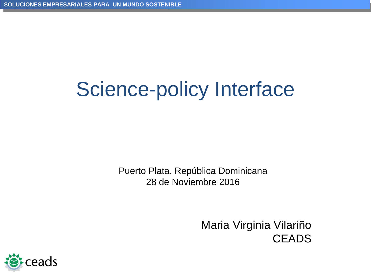# Science-policy Interface

Puerto Plata, República Dominicana 28 de Noviembre 2016

> Maria Virginia Vilariño **CEADS**

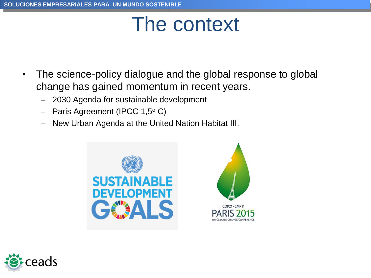# The context

- The science-policy dialogue and the global response to global change has gained momentum in recent years.
	- 2030 Agenda for sustainable development
	- Paris Agreement (IPCC 1,5°C)
	- New Urban Agenda at the United Nation Habitat III.





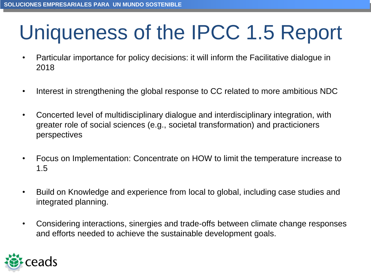# Uniqueness of the IPCC 1.5 Report

- Particular importance for policy decisions: it will inform the Facilitative dialogue in 2018
- Interest in strengthening the global response to CC related to more ambitious NDC
- Concerted level of multidisciplinary dialogue and interdisciplinary integration, with greater role of social sciences (e.g., societal transformation) and practicioners perspectives
- Focus on Implementation: Concentrate on HOW to limit the temperature increase to 1.5
- Build on Knowledge and experience from local to global, including case studies and integrated planning.
- Considering interactions, sinergies and trade-offs between climate change responses and efforts needed to achieve the sustainable development goals.

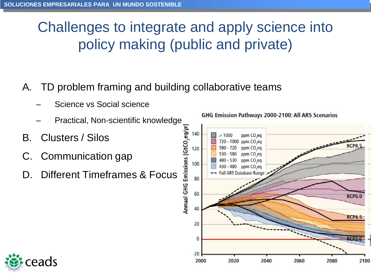## Challenges to integrate and apply science into policy making (public and private)

### A. TD problem framing and building collaborative teams

- Science vs Social science
- 
- B. Clusters / Silos
- C. Communication gap
- Practical, Non-scientific knowledge<br>
usters / Silos<br>
mmunication gap<br>
ferent Timeframes & Focus<br>
and a setting the setting of the setting of the setting of the setting of the setting of the setting of the setting of the se D. Different Timeframes & Focus



GHG Emission Pathways 2000-2100: All AR5 Scenarios

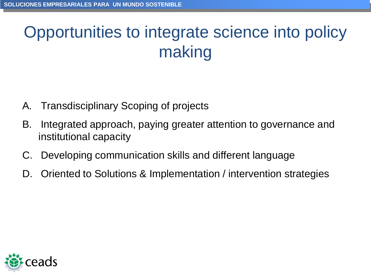## Opportunities to integrate science into policy making

- A. Transdisciplinary Scoping of projects
- B. Integrated approach, paying greater attention to governance and institutional capacity
- C. Developing communication skills and different language
- D. Oriented to Solutions & Implementation / intervention strategies

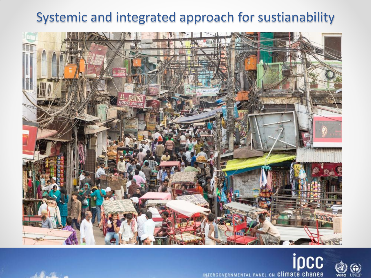### Systemic and integrated approach for sustianability





UNEP